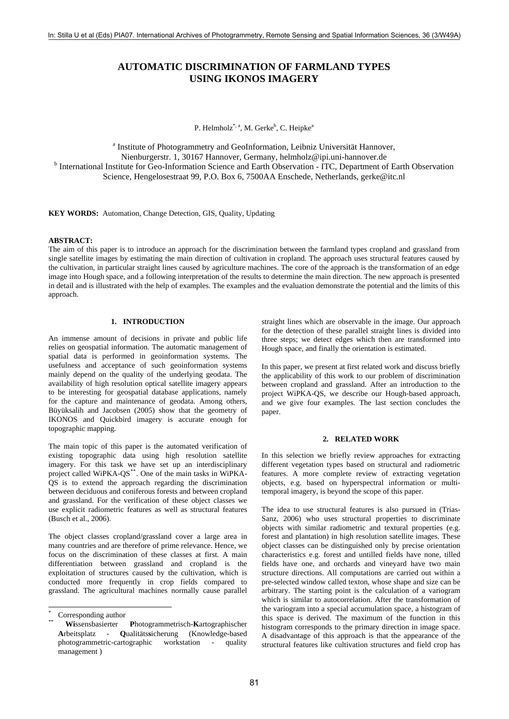# **AUTOMATIC DISCRIMINATION OF FARMLAND TYPES USING IKONOS IMAGERY**

P. Helmholz\*, a, M. Gerke<sup>b</sup>, C. Heipke<sup>a</sup>

<sup>a</sup> Institute of Photogrammetry and GeoInformation, Leibniz Universität Hannover, Nienburgerstr. 1, 30167 Hannover, Germany, helmholz@ipi.uni-hannover.de b <sup>b</sup> International Institute for Geo-Information Science and Earth Observation - ITC, Department of Earth Observation Science, Hengelosestraat 99, P.O. Box 6, 7500AA Enschede, Netherlands, gerke@itc.nl

**KEY WORDS:** Automation, Change Detection, GIS, Quality, Updating

## **ABSTRACT:**

The aim of this paper is to introduce an approach for the discrimination between the farmland types cropland and grassland from single satellite images by estimating the main direction of cultivation in cropland. The approach uses structural features caused by the cultivation, in particular straight lines caused by agriculture machines. The core of the approach is the transformation of an edge image into Hough space, and a following interpretation of the results to determine the main direction. The new approach is presented in detail and is illustrated with the help of examples. The examples and the evaluation demonstrate the potential and the limits of this approach.

## **1. INTRODUCTION**

An immense amount of decisions in private and public life relies on geospatial information. The automatic management of spatial data is performed in geoinformation systems. The usefulness and acceptance of such geoinformation systems mainly depend on the quality of the underlying geodata. The availability of high resolution optical satellite imagery appears to be interesting for geospatial database applications, namely for the capture and maintenance of geodata. Among others, Büyüksalih and Jacobsen (2005) show that the geometry of IKONOS and Quickbird imagery is accurate enough for topographic mapping.

The main topic of this paper is the automated verification of existing topographic data using high resolution satellite imagery. For this task we have set up an interdisciplinary project called WiPKA-QS<sup>[\\*\\*](#page-0-0)</sup>. One of the main tasks in WiPKA-QS is to extend the approach regarding the discrimination between deciduous and coniferous forests and between cropland and grassland. For the verification of these object classes we use explicit radiometric features as well as structural features (Busch et al., 2006).

The object classes cropland/grassland cover a large area in many countries and are therefore of prime relevance. Hence, we focus on the discrimination of these classes at first. A main differentiation between grassland and cropland is the exploitation of structures caused by the cultivation, which is conducted more frequently in crop fields compared to grassland. The agricultural machines normally cause parallel

 $\overline{a}$ 

straight lines which are observable in the image. Our approach for the detection of these parallel straight lines is divided into three steps; we detect edges which then are transformed into Hough space, and finally the orientation is estimated.

In this paper, we present at first related work and discuss briefly the applicability of this work to our problem of discrimination between cropland and grassland. After an introduction to the project WiPKA-QS, we describe our Hough-based approach, and we give four examples. The last section concludes the paper.

### **2. RELATED WORK**

In this selection we briefly review approaches for extracting different vegetation types based on structural and radiometric features. A more complete review of extracting vegetation objects, e.g. based on hyperspectral information or multitemporal imagery, is beyond the scope of this paper.

The idea to use structural features is also pursued in (Trias-Sanz, 2006) who uses structural properties to discriminate objects with similar radiometric and textural properties (e.g. forest and plantation) in high resolution satellite images. These object classes can be distinguished only by precise orientation characteristics e.g. forest and untilled fields have none, tilled fields have one, and orchards and vineyard have two main structure directions. All computations are carried out within a pre-selected window called texton, whose shape and size can be arbitrary. The starting point is the calculation of a variogram which is similar to autocorrelation. After the transformation of the variogram into a special accumulation space, a histogram of this space is derived. The maximum of the function in this histogram corresponds to the primary direction in image space. A disadvantage of this approach is that the appearance of the structural features like cultivation structures and field crop has

<span id="page-0-0"></span><sup>\*</sup> Corresponding author

<sup>\*\*</sup> **Wi**ssensbasierter **P**hotogrammetrisch-**K**artographischer **A**rbeitsplatz - **Q**ualitäts**s**icherung (Knowledge-based photogrammetric-cartographic workstation - quality management )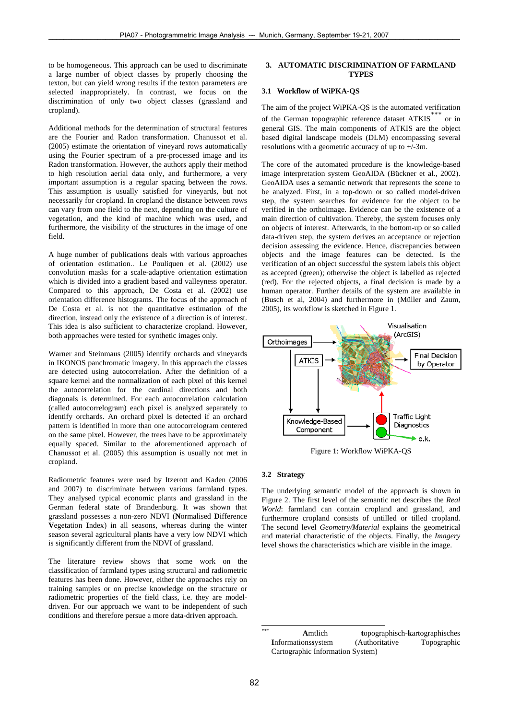to be homogeneous. This approach can be used to discriminate a large number of object classes by properly choosing the texton, but can yield wrong results if the texton parameters are selected inappropriately. In contrast, we focus on the discrimination of only two object classes (grassland and cropland).

Additional methods for the determination of structural features are the Fourier and Radon transformation. Chanussot et al. (2005) estimate the orientation of vineyard rows automatically using the Fourier spectrum of a pre-processed image and its Radon transformation. However, the authors apply their method to high resolution aerial data only, and furthermore, a very important assumption is a regular spacing between the rows. This assumption is usually satisfied for vineyards, but not necessarily for cropland. In cropland the distance between rows can vary from one field to the next, depending on the culture of vegetation, and the kind of machine which was used, and furthermore, the visibility of the structures in the image of one field.

A huge number of publications deals with various approaches of orientation estimation.. Le Pouliquen et al. (2002) use convolution masks for a scale-adaptive orientation estimation which is divided into a gradient based and valleyness operator. Compared to this approach, De Costa et al. (2002) use orientation difference histograms. The focus of the approach of De Costa et al. is not the quantitative estimation of the direction, instead only the existence of a direction is of interest. This idea is also sufficient to characterize cropland. However, both approaches were tested for synthetic images only.

Warner and Steinmaus (2005) identify orchards and vineyards in IKONOS panchromatic imagery. In this approach the classes are detected using autocorrelation. After the definition of a square kernel and the normalization of each pixel of this kernel the autocorrelation for the cardinal directions and both diagonals is determined. For each autocorrelation calculation (called autocorrelogram) each pixel is analyzed separately to identify orchards. An orchard pixel is detected if an orchard pattern is identified in more than one autocorrelogram centered on the same pixel. However, the trees have to be approximately equally spaced. Similar to the aforementioned approach of Chanussot et al. (2005) this assumption is usually not met in cropland.

<span id="page-1-2"></span><span id="page-1-1"></span>Radiometric features were used by Itzerott and Kaden (2006 and 2007) to discriminate between various farmland types. They analysed typical economic plants and grassland in the German federal state of Brandenburg. It was shown that grassland possesses a non-zero NDVI (**N**ormalised **D**ifference **V**egetation **I**ndex) in all seasons, whereas during the winter season several agricultural plants have a very low NDVI which is significantly different from the NDVI of grassland.

<span id="page-1-0"></span>The literature review shows that some work on the classification of farmland types using structural and radiometric features has been done. However, either the approaches rely on training samples or on precise knowledge on the structure or radiometric properties of the field class, i.e. they are modeldriven. For our approach we want to be independent of such conditions and therefore persue a more data-driven approach.

## **3. AUTOMATIC DISCRIMINATION OF FARMLAND TYPES**

## **3.1 Workflow of WiPKA-QS**

The aim of the project WiPKA-QS is the automated verification of the German topographic reference dataset ATKIS<sup>[\\*\\*](#page-1-0)\*</sup> or in general GIS. The main components of ATKIS are the object based digital landscape models (DLM) encompassing several resolutions with a geometric accuracy of up to  $+\sqrt{-3}$ m.

The core of the automated procedure is the knowledge-based image interpretation system GeoAIDA (Bückner et al., 2002). GeoAIDA uses a semantic network that represents the scene to be analyzed. First, in a top-down or so called model-driven step, the system searches for evidence for the object to be verified in the orthoimage. Evidence can be the existence of a main direction of cultivation. Thereby, the system focuses only on objects of interest. Afterwards, in the bottom-up or so called data-driven step, the system derives an acceptance or rejection decision assessing the evidence. Hence, discrepancies between objects and the image features can be detected. Is the verification of an object successful the system labels this object as accepted (green); otherwise the object is labelled as rejected (red). For the rejected objects, a final decision is made by a human operator. Further details of the system are available in (Busch et al, 2004) and furthermore in (Müller and Zaum, 2005), its workflow is sketched in [Figure 1.](#page-1-1)



Figure 1: Workflow WiPKA-QS

### **3.2 Strategy**

The underlying semantic model of the approach is shown in [Figure 2](#page-2-0). The first level of the semantic net describes the *Real World*: farmland can contain cropland and grassland, and furthermore cropland consists of untilled or tilled cropland. The second level *Geometry/Material* explains the geometrical and material characteristic of the objects. Finally, the *Imagery* level shows the characteristics which are visible in the image.

 $**$ \*\*\* **A**mtlich **t**opographisch-**k**artographisches **I**nformations**s**ystem (Authoritative Topographic Cartographic Information System)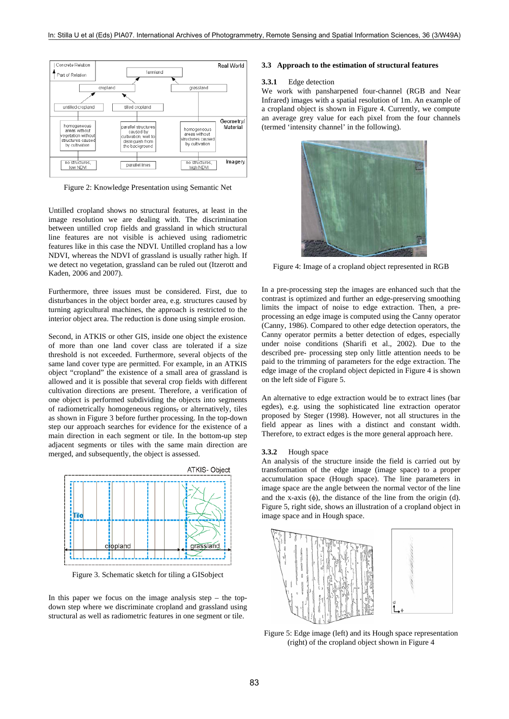

Figure 2: Knowledge Presentation using Semantic Net

<span id="page-2-0"></span>Untilled cropland shows no structural features, at least in the image resolution we are dealing with. The discrimination between untilled crop fields and grassland in which structural line features are not visible is achieved using radiometric features like in this case the NDVI. Untilled cropland has a low NDVI, whereas the NDVI of grassland is usually rather high. If we detect no vegetation, grassland can be ruled out (Itzerott and Kaden, 2006 and 2007).

<span id="page-2-2"></span>Furthermore, three issues must be considered. First, due to disturbances in the object border area, e.g. structures caused by turning agricultural machines, the approach is restricted to the interior object area. The reduction is done using simple erosion.

Second, in ATKIS or other GIS, inside one object the existence of more than one land cover class are tolerated if a size threshold is not exceeded. Furthermore, several objects of the same land cover type are permitted. For example, in an ATKIS object "cropland" the existence of a small area of grassland is allowed and it is possible that several crop fields with different cultivation directions are present. Therefore, a verification of one object is performed subdividing the objects into segments of radiometrically homogeneous regions, or alternatively, tiles as shown in [Figure 3](#page-2-1) before further processing. In the top-down step our approach searches for evidence for the existence of a main direction in each segment or tile. In the bottom-up step adjacent segments or tiles with the same main direction are merged, and subsequently, the object is assessed.



Figure 3. Schematic sketch for tiling a GISobject

<span id="page-2-3"></span><span id="page-2-1"></span>In this paper we focus on the image analysis step  $-$  the topdown step where we discriminate cropland and grassland using structural as well as radiometric features in one segment or tile.

#### **3.3 Approach to the estimation of structural features**

#### **3.3.1** Edge detection

We work with pansharpened four-channel (RGB and Near Infrared) images with a spatial resolution of 1m. An example of a cropland object is shown in [Figure 4](#page-2-2). Currently, we compute an average grey value for each pixel from the four channels (termed 'intensity channel' in the following).



Figure 4: Image of a cropland object represented in RGB

In a pre-processing step the images are enhanced such that the contrast is optimized and further an edge-preserving smoothing limits the impact of noise to edge extraction. Then, a preprocessing an edge image is computed using the Canny operator (Canny, 1986). Compared to other edge detection operators, the Canny operator permits a better detection of edges, especially under noise conditions (Sharifi et al., 2002). Due to the described pre- processing step only little attention needs to be paid to the trimming of parameters for the edge extraction. The edge image of the cropland object depicted in [Figure 4](#page-2-2) is shown on the left side of [Figure 5](#page-2-3).

An alternative to edge extraction would be to extract lines (bar egdes), e.g. using the sophisticated line extraction operator proposed by Steger (1998). However, not all structures in the field appear as lines with a distinct and constant width. Therefore, to extract edges is the more general approach here.

#### **3.3.2** Hough space

An analysis of the structure inside the field is carried out by transformation of the edge image (image space) to a proper accumulation space (Hough space). The line parameters in image space are the angle between the normal vector of the line and the x-axis  $(\phi)$ , the distance of the line from the origin (d). [Figure 5,](#page-2-3) right side, shows an illustration of a cropland object in image space and in Hough space.



Figure 5: Edge image (left) and its Hough space representation (right) of the cropland object shown in [Figure 4](#page-2-2)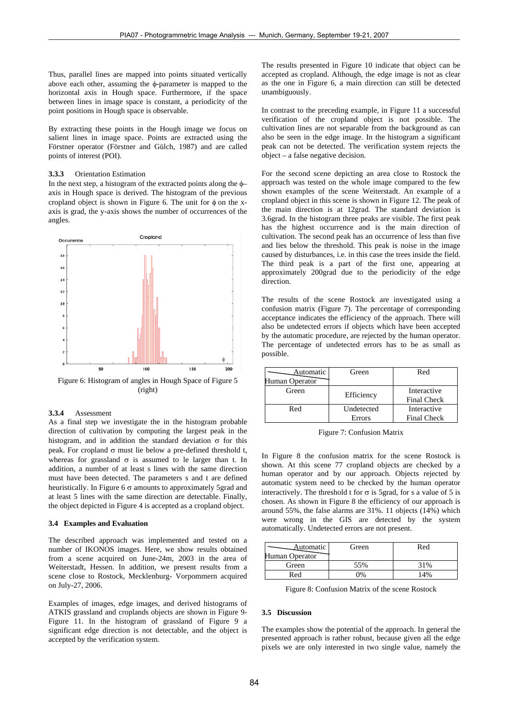Thus, parallel lines are mapped into points situated vertically above each other, assuming the φ-parameter is mapped to the horizontal axis in Hough space. Furthermore, if the space between lines in image space is constant, a periodicity of the point positions in Hough space is observable.

By extracting these points in the Hough image we focus on salient lines in image space. Points are extracted using the Förstner operator (Förstner and Gülch, 1987) and are called points of interest (POI).

#### **3.3.3** Orientation Estimation

In the next step, a histogram of the extracted points along the  $\phi$ axis in Hough space is derived. The histogram of the previous cropland object is shown in [Figure 6.](#page-3-0) The unit for  $\phi$  on the xaxis is grad, the y-axis shows the number of occurrences of the angles.



Figure 6: Histogram of angles in Hough Space of [Figure 5](#page-2-3) (right)

#### <span id="page-3-0"></span>**3.3.4** Assessment

<span id="page-3-1"></span>As a final step we investigate the in the histogram probable direction of cultivation by computing the largest peak in the histogram, and in addition the standard deviation  $\sigma$  for this peak. For cropland σ must lie below a pre-defined threshold t, whereas for grassland  $\sigma$  is assumed to le larger than t. In addition, a number of at least s lines with the same direction must have been detected. The parameters s and t are defined heuristically. In [Figure 6](#page-3-0)  $\sigma$  amounts to approximately 5grad and at least 5 lines with the same direction are detectable. Finally, the object depicted in [Figure 4](#page-2-2) is accepted as a cropland object.

#### **3.4 Examples and Evaluation**

The described approach was implemented and tested on a number of IKONOS images. Here, we show results obtained from a scene acquired on June-24m, 2003 in the area of Weiterstadt, Hessen. In addition, we present results from a scene close to Rostock, Mecklenburg- Vorpommern acquired on July-27, 2006.

<span id="page-3-2"></span>Examples of images, edge images, and derived histograms of ATKIS grassland and croplands objects are shown in [Figure 9](#page-5-0)- [Figure 11](#page-5-1). In the histogram of grassland of [Figure 9](#page-5-0) a significant edge direction is not detectable, and the object is accepted by the verification system.

The results presented in [Figure 10](#page-5-2) indicate that object can be accepted as cropland. Although, the edge image is not as clear as the one in [Figure 6](#page-3-0), a main direction can still be detected unambiguously.

In contrast to the preceding example, in [Figure 11](#page-5-1) a successful verification of the cropland object is not possible. The cultivation lines are not separable from the background as can also be seen in the edge image. In the histogram a significant peak can not be detected. The verification system rejects the object – a false negative decision.

For the second scene depicting an area close to Rostock the approach was tested on the whole image compared to the few shown examples of the scene Weiterstadt. An example of a cropland object in this scene is shown in [Figure 12.](#page-5-3) The peak of the main direction is at 12grad. The standard deviation is 3.6grad. In the histogram three peaks are visible. The first peak has the highest occurrence and is the main direction of cultivation. The second peak has an occurrence of less than five and lies below the threshold. This peak is noise in the image caused by disturbances, i.e. in this case the trees inside the field. The third peak is a part of the first one, appearing at approximately 200grad due to the periodicity of the edge direction.

The results of the scene Rostock are investigated using a confusion matrix [\(Figure 7\)](#page-3-1). The percentage of corresponding acceptance indicates the efficiency of the approach. There will also be undetected errors if objects which have been accepted by the automatic procedure, are rejected by the human operator. The percentage of undetected errors has to be as small as possible.

| Automatic      | Green      | Red                |
|----------------|------------|--------------------|
| Human Operator |            |                    |
| Green          | Efficiency | Interactive        |
|                |            | <b>Final Check</b> |
| Red            | Undetected | Interactive        |
|                | Errors     | Final Check        |

Figure 7: Confusion Matrix

In [Figure 8](#page-3-2) the confusion matrix for the scene Rostock is shown. At this scene 77 cropland objects are checked by a human operator and by our approach. Objects rejected by automatic system need to be checked by the human operator interactively. The threshold t for  $\sigma$  is 5grad, for s a value of 5 is chosen. As shown in [Figure 8](#page-3-2) the efficiency of our approach is around 55%, the false alarms are 31%. 11 objects (14%) which were wrong in the GIS are detected by the system automatically. Undetected errors are not present.

| Automatic<br>Human Operator | Green | Red |
|-----------------------------|-------|-----|
| Green                       | 55%   | 31% |
| Red                         |       |     |

Figure 8: Confusion Matrix of the scene Rostock

#### **3.5 Discussion**

The examples show the potential of the approach. In general the presented approach is rather robust, because given all the edge pixels we are only interested in two single value, namely the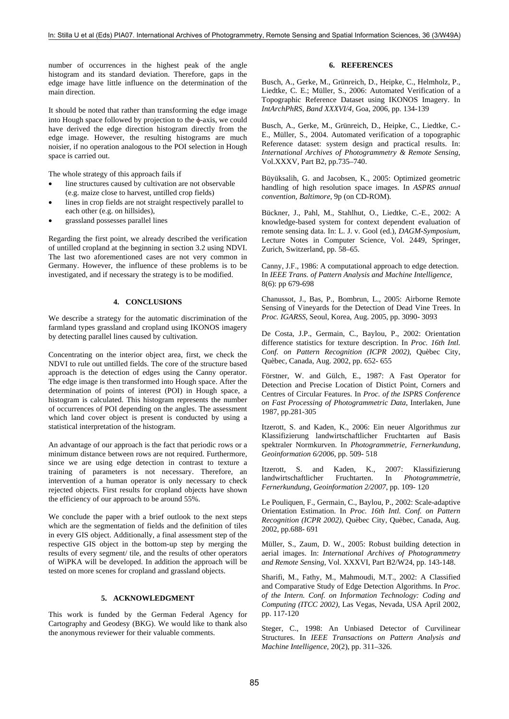number of occurrences in the highest peak of the angle histogram and its standard deviation. Therefore, gaps in the edge image have little influence on the determination of the main direction.

It should be noted that rather than transforming the edge image into Hough space followed by projection to the φ-axis, we could have derived the edge direction histogram directly from the edge image. However, the resulting histograms are much noisier, if no operation analogous to the POI selection in Hough space is carried out.

The whole strategy of this approach fails if

- line structures caused by cultivation are not observable (e.g. maize close to harvest, untilled crop fields)
- lines in crop fields are not straight respectively parallel to each other (e.g. on hillsides),
- grassland possesses parallel lines

Regarding the first point, we already described the verification of untilled cropland at the beginning in section [3.2](#page-1-2) using NDVI. The last two aforementioned cases are not very common in Germany. However, the influence of these problems is to be investigated, and if necessary the strategy is to be modified.

## **4. CONCLUSIONS**

We describe a strategy for the automatic discrimination of the farmland types grassland and cropland using IKONOS imagery by detecting parallel lines caused by cultivation.

Concentrating on the interior object area, first, we check the NDVI to rule out untilled fields. The core of the structure based approach is the detection of edges using the Canny operator. The edge image is then transformed into Hough space. After the determination of points of interest (POI) in Hough space, a histogram is calculated. This histogram represents the number of occurrences of POI depending on the angles. The assessment which land cover object is present is conducted by using a statistical interpretation of the histogram.

An advantage of our approach is the fact that periodic rows or a minimum distance between rows are not required. Furthermore, since we are using edge detection in contrast to texture a training of parameters is not necessary. Therefore, an intervention of a human operator is only necessary to check rejected objects. First results for cropland objects have shown the efficiency of our approach to be around 55%.

We conclude the paper with a brief outlook to the next steps which are the segmentation of fields and the definition of tiles in every GIS object. Additionally, a final assessment step of the respective GIS object in the bottom-up step by merging the results of every segment/ tile, and the results of other operators of WiPKA will be developed. In addition the approach will be tested on more scenes for cropland and grassland objects.

## **5. ACKNOWLEDGMENT**

This work is funded by the German Federal Agency for Cartography and Geodesy (BKG). We would like to thank also the anonymous reviewer for their valuable comments.

## **6. REFERENCES**

Busch, A., Gerke, M., Grünreich, D., Heipke, C., Helmholz, P., Liedtke, C. E.; Müller, S., 2006: Automated Verification of a Topographic Reference Dataset using IKONOS Imagery. In *IntArchPhRS, Band XXXVI/4,* Goa, 2006, pp. 134-139

Busch, A., Gerke, M., Grünreich, D., Heipke, C., Liedtke, C.- E., Müller, S., 2004. Automated verification of a topographic Reference dataset: system design and practical results. In: *International Archives of Photogrammetry & Remote Sensing*, Vol.XXXV, Part B2, pp.735–740.

Büyüksalih, G. and Jacobsen, K., 2005: Optimized geometric handling of high resolution space images. In *ASPRS annual convention, Baltimore*, 9p (on CD-ROM).

Bückner, J., Pahl, M., Stahlhut, O., Liedtke, C.-E., 2002: A knowledge-based system for context dependent evaluation of remote sensing data. In: L. J. v. Gool (ed.), *DAGM-Symposium*, Lecture Notes in Computer Science, Vol. 2449, Springer, Zurich, Switzerland, pp. 58–65.

Canny, J.F., 1986: A computational approach to edge detection. In *IEEE Trans. of Pattern Analysis and Machine Intelligence*, 8(6): pp 679-698

Chanussot, J., Bas, P., Bombrun, L., 2005: Airborne Remote Sensing of Vineyards for the Detection of Dead Vine Trees. In *Proc. IGARSS*, Seoul, Korea, Aug. 2005, pp. 3090- 3093

De Costa, J.P., Germain, C., Baylou, P., 2002: Orientation difference statistics for texture description. In *Proc. 16th Intl. Conf. on Pattern Recognition (ICPR 2002)*, Quèbec City, Quèbec, Canada, Aug. 2002, pp. 652- 655

Förstner, W. and Gülch, E., 1987: A Fast Operator for Detection and Precise Location of Distict Point, Corners and Centres of Circular Features. In *Proc. of the ISPRS Conference on Fast Processing of Photogrammetric Data*, Interlaken, June 1987, pp.281-305

Itzerott, S. and Kaden, K., 2006: Ein neuer Algorithmus zur Klassifizierung landwirtschaftlicher Fruchtarten auf Basis spektraler Normkurven. In *Photogrammetrie, Fernerkundung, Geoinformation 6/2006*, pp. 509- 518

Itzerott, S. and Kaden, K., 2007: Klassifizierung landwirtschaftlicher Fruchtarten. In *Photogrammetrie, Fernerkundung, Geoinformation 2/2007*, pp. 109- 120

Le Pouliquen, F., Germain, C., Baylou, P., 2002: Scale-adaptive Orientation Estimation. In *Proc. 16th Intl. Conf. on Pattern Recognition (ICPR 2002)*, Quèbec City, Quèbec, Canada, Aug. 2002, pp.688- 691

Müller, S., Zaum, D. W., 2005: Robust building detection in aerial images. In: *International Archives of Photogrammetry and Remote Sensing*, Vol. XXXVI, Part B2/W24, pp. 143-148.

Sharifi, M., Fathy, M., Mahmoudi, M.T., 2002: A Classified and Comparative Study of Edge Detection Algorithms. In *Proc. of the Intern. Conf. on Information Technology: Coding and Computing (ITCC 2002)*, Las Vegas, Nevada, USA April 2002, pp. 117-120

Steger, C., 1998: An Unbiased Detector of Curvilinear Structures. In *IEEE Transactions on Pattern Analysis and Machine Intelligence*, 20(2), pp. 311–326.